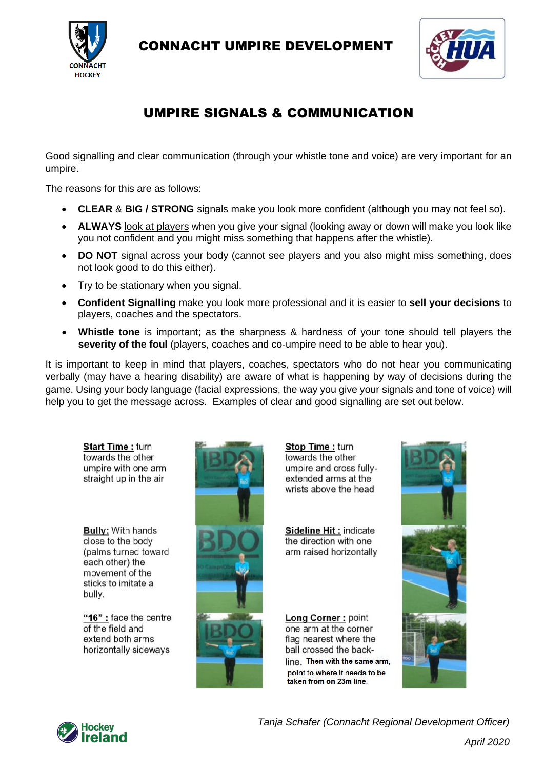

CONNACHT UMPIRE DEVELOPMENT



# UMPIRE SIGNALS & COMMUNICATION

Good signalling and clear communication (through your whistle tone and voice) are very important for an umpire.

The reasons for this are as follows:

- **CLEAR** & **BIG / STRONG** signals make you look more confident (although you may not feel so).
- **ALWAYS** look at players when you give your signal (looking away or down will make you look like you not confident and you might miss something that happens after the whistle).
- **DO NOT** signal across your body (cannot see players and you also might miss something, does not look good to do this either).
- Try to be stationary when you signal.
- **Confident Signalling** make you look more professional and it is easier to **sell your decisions** to players, coaches and the spectators.
- **Whistle tone** is important; as the sharpness & hardness of your tone should tell players the **severity of the foul** (players, coaches and co-umpire need to be able to hear you).

It is important to keep in mind that players, coaches, spectators who do not hear you communicating verbally (may have a hearing disability) are aware of what is happening by way of decisions during the game. Using your body language (facial expressions, the way you give your signals and tone of voice) will help you to get the message across. Examples of clear and good signalling are set out below.

**Start Time: turn** towards the other umpire with one arm straight up in the air

**Bully: With hands** close to the body (palms turned toward each other) the movement of the sticks to imitate a bully.

"16" : face the centre of the field and extend both arms horizontally sideways



Stop Time: turn towards the other umpire and cross fullyextended arms at the wrists above the head

Sideline Hit: indicate the direction with one arm raised horizontally

Long Corner: point one arm at the corner flag nearest where the ball crossed the backline. Then with the same arm, point to where it needs to be taken from on 23m line.





*Tanja Schafer (Connacht Regional Development Officer)*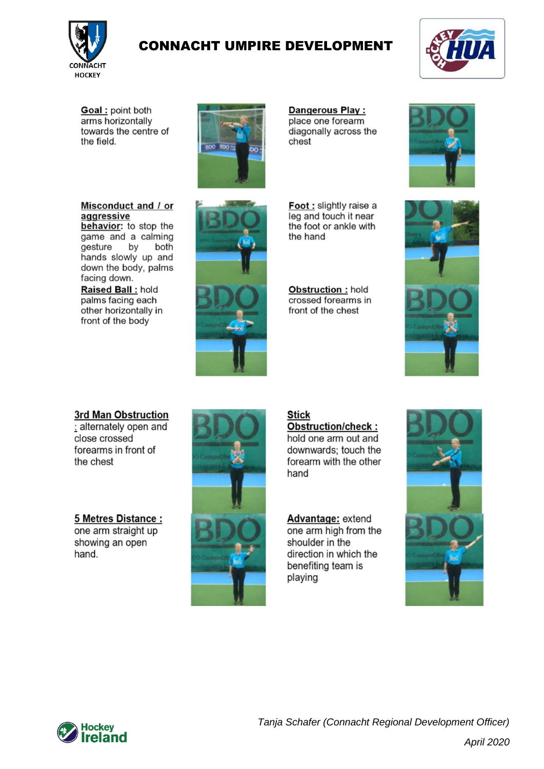

## **CONNACHT UMPIRE DEVELOPMENT**



Goal: point both arms horizontally towards the centre of the field.

Misconduct and / or

behavior: to stop the

game and a calming

hands slowly up and down the body, palms

by

both

aggressive

facing down. Raised Ball: hold

palms facing each

front of the body

other horizontally in

gesture

**BDO BDO** 

Dangerous Play: place one forearm diagonally across the chest

Foot : slightly raise a leg and touch it near the foot or ankle with the hand

Obstruction: hold crossed forearms in front of the chest





3rd Man Obstruction

: alternately open and close crossed forearms in front of the chest

5 Metres Distance: one arm straight up showing an open hand.



#### **Stick** Obstruction/check:

hold one arm out and downwards: touch the forearm with the other hand

Advantage: extend one arm high from the shoulder in the direction in which the benefiting team is playing